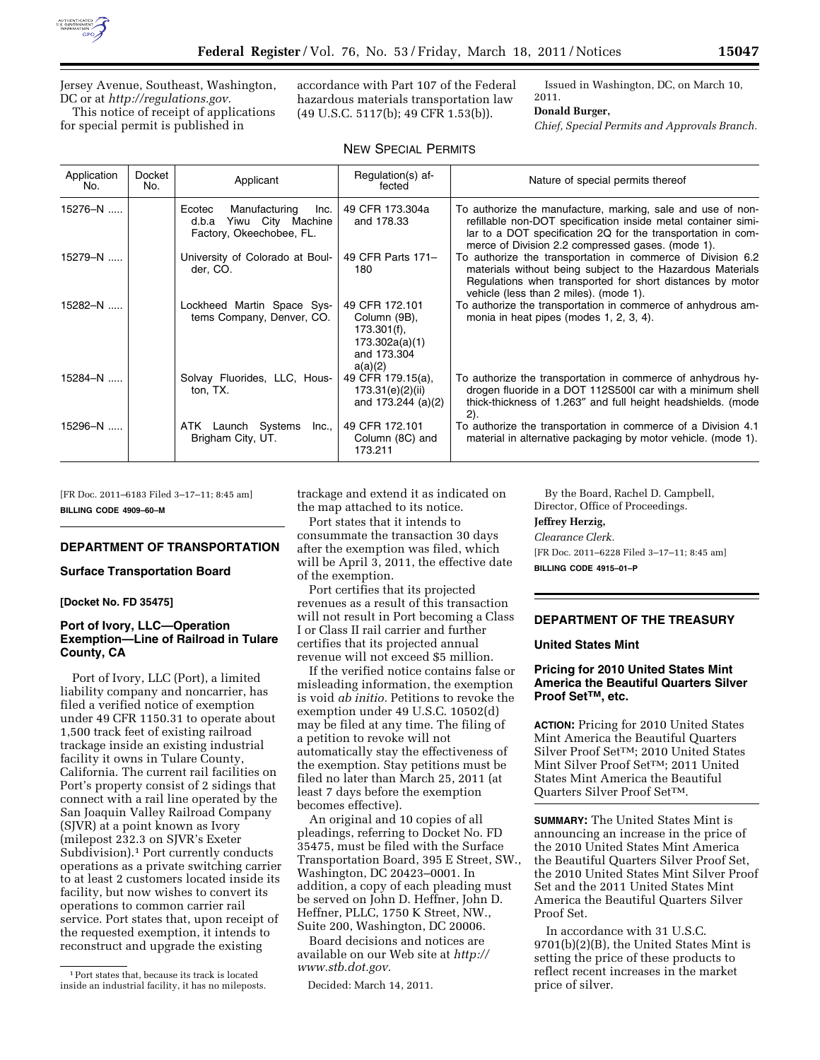

Jersey Avenue, Southeast, Washington, DC or at *[http://regulations.gov.](http://regulations.gov)*  This notice of receipt of applications

for special permit is published in

accordance with Part 107 of the Federal hazardous materials transportation law (49 U.S.C. 5117(b); 49 CFR 1.53(b)).

Issued in Washington, DC, on March 10, 2011.

#### **Donald Burger,**

*Chief, Special Permits and Approvals Branch.* 

| <b>NEW SPECIAL PERMITS</b> |
|----------------------------|
|----------------------------|

| Application<br>No. | Docket<br>No. | Applicant                                                                                 | Regulation(s) af-<br>fected                                                                  | Nature of special permits thereof                                                                                                                                                                                                                 |
|--------------------|---------------|-------------------------------------------------------------------------------------------|----------------------------------------------------------------------------------------------|---------------------------------------------------------------------------------------------------------------------------------------------------------------------------------------------------------------------------------------------------|
| 15276-N            |               | Manufacturing<br>Ecotec<br>Inc.<br>Yiwu City Machine<br>d.b.a<br>Factory, Okeechobee, FL. | 49 CFR 173.304a<br>and 178.33                                                                | To authorize the manufacture, marking, sale and use of non-<br>refillable non-DOT specification inside metal container simi-<br>lar to a DOT specification 2Q for the transportation in com-<br>merce of Division 2.2 compressed gases. (mode 1). |
| 15279-N            |               | University of Colorado at Boul-<br>der, CO.                                               | 49 CFR Parts 171-<br>180                                                                     | To authorize the transportation in commerce of Division 6.2<br>materials without being subject to the Hazardous Materials<br>Regulations when transported for short distances by motor<br>vehicle (less than 2 miles). (mode 1).                  |
| 15282-N            |               | Lockheed Martin Space Sys-<br>tems Company, Denver, CO.                                   | 49 CFR 172.101<br>Column (9B),<br>$173.301(f)$ ,<br>173.302a(a)(1)<br>and 173.304<br>a(a)(2) | To authorize the transportation in commerce of anhydrous am-<br>monia in heat pipes (modes 1, 2, 3, 4).                                                                                                                                           |
| $15284 - N$        |               | Solvay Fluorides, LLC, Hous-<br>ton, TX.                                                  | 49 CFR 179.15(a),<br>173.31(e)(2)(ii)<br>and $173.244$ (a)(2)                                | To authorize the transportation in commerce of anhydrous hy-<br>drogen fluoride in a DOT 112S500I car with a minimum shell<br>thick-thickness of 1.263" and full height headshields. (mode<br>$2)$ .                                              |
| $15296 - N$        |               | ATK Launch Systems<br>Inc.,<br>Brigham City, UT.                                          | 49 CFR 172.101<br>Column (8C) and<br>173.211                                                 | To authorize the transportation in commerce of a Division 4.1<br>material in alternative packaging by motor vehicle. (mode 1).                                                                                                                    |

[FR Doc. 2011–6183 Filed 3–17–11; 8:45 am] **BILLING CODE 4909–60–M** 

#### **DEPARTMENT OF TRANSPORTATION**

#### **Surface Transportation Board**

**[Docket No. FD 35475]** 

## **Port of Ivory, LLC—Operation Exemption—Line of Railroad in Tulare County, CA**

Port of Ivory, LLC (Port), a limited liability company and noncarrier, has filed a verified notice of exemption under 49 CFR 1150.31 to operate about 1,500 track feet of existing railroad trackage inside an existing industrial facility it owns in Tulare County, California. The current rail facilities on Port's property consist of 2 sidings that connect with a rail line operated by the San Joaquin Valley Railroad Company (SJVR) at a point known as Ivory (milepost 232.3 on SJVR's Exeter Subdivision).1 Port currently conducts operations as a private switching carrier to at least 2 customers located inside its facility, but now wishes to convert its operations to common carrier rail service. Port states that, upon receipt of the requested exemption, it intends to reconstruct and upgrade the existing

trackage and extend it as indicated on the map attached to its notice.

Port states that it intends to consummate the transaction 30 days after the exemption was filed, which will be April 3, 2011, the effective date of the exemption.

Port certifies that its projected revenues as a result of this transaction will not result in Port becoming a Class I or Class II rail carrier and further certifies that its projected annual revenue will not exceed \$5 million.

If the verified notice contains false or misleading information, the exemption is void *ab initio.* Petitions to revoke the exemption under 49 U.S.C. 10502(d) may be filed at any time. The filing of a petition to revoke will not automatically stay the effectiveness of the exemption. Stay petitions must be filed no later than March 25, 2011 (at least 7 days before the exemption becomes effective).

An original and 10 copies of all pleadings, referring to Docket No. FD 35475, must be filed with the Surface Transportation Board, 395 E Street, SW., Washington, DC 20423–0001. In addition, a copy of each pleading must be served on John D. Heffner, John D. Heffner, PLLC, 1750 K Street, NW., Suite 200, Washington, DC 20006.

Board decisions and notices are available on our Web site at *[http://](http://www.stb.dot.gov) [www.stb.dot.gov.](http://www.stb.dot.gov)* 

Decided: March 14, 2011.

By the Board, Rachel D. Campbell, Director, Office of Proceedings.

**Jeffrey Herzig,** 

*Clearance Clerk.* 

[FR Doc. 2011–6228 Filed 3–17–11; 8:45 am] **BILLING CODE 4915–01–P** 

## **DEPARTMENT OF THE TREASURY**

#### **United States Mint**

## **Pricing for 2010 United States Mint America the Beautiful Quarters Silver Proof SetTM, etc.**

**ACTION:** Pricing for 2010 United States Mint America the Beautiful Quarters Silver Proof SetTM; 2010 United States Mint Silver Proof SetTM; 2011 United States Mint America the Beautiful Quarters Silver Proof SetTM.

**SUMMARY:** The United States Mint is announcing an increase in the price of the 2010 United States Mint America the Beautiful Quarters Silver Proof Set, the 2010 United States Mint Silver Proof Set and the 2011 United States Mint America the Beautiful Quarters Silver Proof Set.

In accordance with 31 U.S.C. 9701(b)(2)(B), the United States Mint is setting the price of these products to reflect recent increases in the market price of silver.

<sup>1</sup>Port states that, because its track is located inside an industrial facility, it has no mileposts.